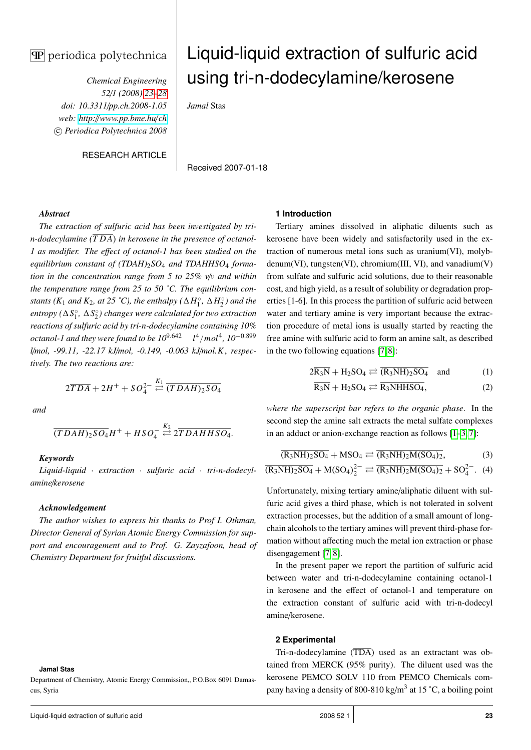# $\mathbf{\overline{P}}$  periodica polytechnica

*Chemical Engineering 52*/*1 (2008) 23–28 doi: 10.3311*/*pp.ch.2008-1.05 web: http:*//*[www.pp.bme.hu](http://www.pp.bme.hu/ch)*/*ch* c *Periodica Polytechnica 2008*

RESEARCH ARTICLE

# Liquid-liquid extraction of sulfuric acid using tri-n-dodecylamine/kerosene

*Jamal* Stas

Received 2007-01-18

# *Abstract*

*The extraction of sulfuric acid has been investigated by trin-dodecylamine*  $(TDA)$  *in kerosene in the presence of octanol-1 as modifier. The e*ff*ect of octanol-1 has been studied on the equilibrium constant of (TDAH)*2*SO*<sup>4</sup> *and TDAHHSO*<sup>4</sup> *formation in the concentration range from 5 to 25% v*/*v and within the temperature range from 25 to 50 ˚C. The equilibrium constants* ( $K_1$  *and*  $K_2$ *, at* 25 °C), the enthalpy ( $\Delta H_1^{\circ}$ )  $\int_1^\infty$ ,  $\Delta H_2^\infty$ 2 *) and the entropy* ( $\Delta S_1^{\circ}$ <sup> $\frac{1}{1}$ </sup>,  $\Delta S_2^{\circ}$ 2 *) changes were calculated for two extraction reactions of sulfuric acid by tri-n-dodecylamine containing 10% octanol-1 and they were found to be 10*9.<sup>642</sup> *l* 4 /*mol*<sup>4</sup> *, 10*−0.<sup>899</sup> *l*/*mol, -99.11, -22.17 kJ*/*mol, -0.149, -0.063 kJ*/*mol.K*, *respectively. The two reactions are:*

$$
2\overline{TDA} + 2H^+ + SO_4^{2-} \stackrel{K_1}{\rightleftharpoons} \overline{(TDAH)_2SO_4}
$$

*and*

$$
\overline{(TDAH)_2SO_4}H^+ + HSO_4^- \stackrel{K_2}{\rightleftharpoons} 2\overline{TDAHHSO_4}.
$$

## *Keywords*

*Liquid-liquid* · *extraction* · *sulfuric acid* · *tri-n-dodecylamine*/*kerosene*

## *Acknowledgement*

*The author wishes to express his thanks to Prof I. Othman, Director General of Syrian Atomic Energy Commission for support and encouragement and to Prof. G. Zayzafoon, head of Chemistry Department for fruitful discussions.*

#### **Jamal Stas**

Department of Chemistry, Atomic Energy Commission,, P.O.Box 6091 Damascus, Syria

#### **1 Introduction**

Tertiary amines dissolved in aliphatic diluents such as kerosene have been widely and satisfactorily used in the extraction of numerous metal ions such as uranium(VI), molybdenum(VI), tungsten(VI), chromium(III, VI), and vanadium(V) from sulfate and sulfuric acid solutions, due to their reasonable cost, and high yield, as a result of solubility or degradation properties [1-6]. In this process the partition of sulfuric acid between water and tertiary amine is very important because the extraction procedure of metal ions is usually started by reacting the free amine with sulfuric acid to form an amine salt, as described in the two following equations [\[7,](#page-5-0) [8\]](#page-5-1):

$$
2\overline{R_3N} + H_2SO_4 \rightleftarrows \overline{(R_3NH)_2SO_4} \quad \text{and} \tag{1}
$$

$$
\overline{R_3N} + H_2SO_4 \rightleftarrows \overline{R_3NHHSO_4},\tag{2}
$$

*where the superscript bar refers to the organic phase*. In the second step the amine salt extracts the metal sulfate complexes in an adduct or anion-exchange reaction as follows [\[1](#page-5-2)[–3,](#page-5-3) [7\]](#page-5-0):

$$
\overline{(R_3NH)_2SO_4} + \text{MSO}_4 \rightleftarrows \overline{(R_3NH)_2M(SO_4)_2},\tag{3}
$$

$$
\overline{(R_3NH)_2SO_4} + M(SO_4)_2^{2-} \rightleftarrows \overline{(R_3NH)_2M(SO_4)_2} + SO_4^{2-}.
$$
 (4)

Unfortunately, mixing tertiary amine/aliphatic diluent with sulfuric acid gives a third phase, which is not tolerated in solvent extraction processes, but the addition of a small amount of longchain alcohols to the tertiary amines will prevent third-phase formation without affecting much the metal ion extraction or phase disengagement [\[7,](#page-5-0) [8\]](#page-5-1).

In the present paper we report the partition of sulfuric acid between water and tri-n-dodecylamine containing octanol-1 in kerosene and the effect of octanol-1 and temperature on the extraction constant of sulfuric acid with tri-n-dodecyl amine/kerosene.

# **2 Experimental**

Tri-n-dodecylamine (TDA) used as an extractant was obtained from MERCK (95% purity). The diluent used was the kerosene PEMCO SOLV 110 from PEMCO Chemicals company having a density of 800-810 kg/m<sup>3</sup> at 15 °C, a boiling point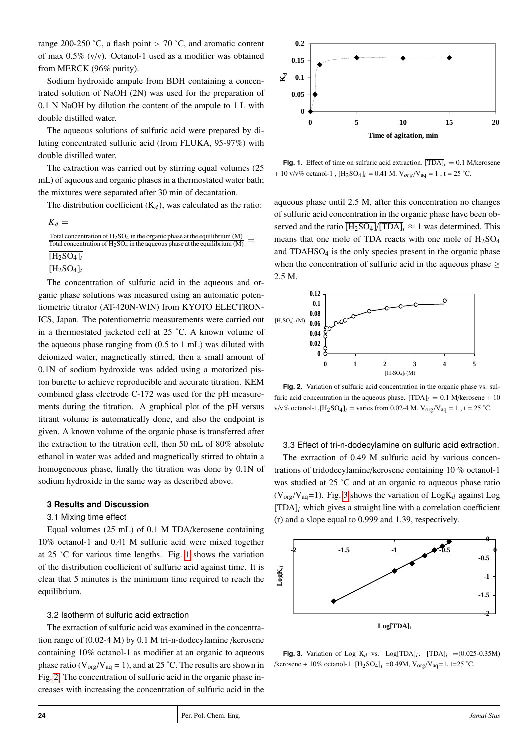range 200-250 °C, a flash point  $> 70$  °C, and aromatic content of max 0.5% (v/v). Octanol-1 used as a modifier was obtained from MERCK (96% purity).

Sodium hydroxide ampule from BDH containing a concentrated solution of NaOH (2N) was used for the preparation of 0.1 N NaOH by dilution the content of the ampule to 1 L with double distilled water.

The aqueous solutions of sulfuric acid were prepared by diluting concentrated sulfuric acid (from FLUKA, 95-97%) with double distilled water.

The extraction was carried out by stirring equal volumes (25 mL) of aqueous and organic phases in a thermostated water bath; the mixtures were separated after 30 min of decantation.

The distribution coefficient  $(K_d)$ , was calculated as the ratio:

```
K_d =
```

```
Total concentration of \overline{H_2SO_4} in the organic phase at the equilibrium (M)
Total concentration of H_2SO<sub>4</sub> in the organic phase at the equilibrium (M) = Total concentration of H_2SO<sub>4</sub> in the aqueous phase at the equilibrium (M)
[H_2SO_4]_t
```
 $[H_2SO_4]_t$ 

The concentration of sulfuric acid in the aqueous and organic phase solutions was measured using an automatic potentiometric titrator (AT-420N-WIN) from KYOTO ELECTRON-ICS, Japan. The potentiometric measurements were carried out in a thermostated jacketed cell at 25 ˚C. A known volume of the aqueous phase ranging from (0.5 to 1 mL) was diluted with deionized water, magnetically stirred, then a small amount of 0.1N of sodium hydroxide was added using a motorized piston burette to achieve reproducible and accurate titration. KEM combined glass electrode C-172 was used for the pH measure ments during the titration. A graphical plot of the pH versus titrant volume is automatically done, and also the endpoint is given. A known volume of the organic phase is transferred after the extraction to the titration cell, then 50 mL of 80% absolute ethanol in water was added and magnetically stirred to obtain a homogeneous phase, finally the titration was done by 0.1N of sodium hydroxide in the same way as described above.

# **3 Results and Discussion**

## <span id="page-1-0"></span>3.1 Mixing time effect

Equal volumes (25 mL) of 0.1 M TDA/kerosene containing 10% octanol-1 and 0.41 M sulfuric acid were mixed together at 25 ˚C for various time lengths. Fig. [1](#page-1-0) shows the variation of the distribution coefficient of sulfuric acid against time. It is clear that 5 minutes is the minimum time required to reach the equilibrium.

# <span id="page-1-1"></span>3.2 Isotherm of sulfuric acid extraction

The extraction of sulfuric acid was examined in the concentration range of (0.02-4 M) by 0.1 M tri-n-dodecylamine /kerosene containing 10% octanol-1 as modifier at an organic to aqueous phase ratio ( $V_{org}/V_{aq} = 1$ ), and at 25 °C. The results are shown in Fig. [2.](#page-1-1) The concentration of sulfuric acid in the organic phase increases with increasing the concentration of sulfuric acid in the



 $\frac{1}{1}$  $+ 10 \text{ v/v\% octanol-1}$ ,  $[H_2SO_4]_i = 0.41 \text{ M}$ .  $V_{org}/V_{aq} = 1$ ,  $t = 25 \text{ }^{\circ}\text{C}$ . **Fig. 1.** Effect of time on sulfuric acid extraction.  $\overline{[TDA]}_i = 0.1$  M/kerosene

aqueous phase until 2.5 M, after this concentration no changes of sulfuric acid concentration in the organic phase have been observed and the ratio  $\overline{[H_2SO_4]}/\overline{[TDA]}_i \approx 1$  was determined. This means that one mole of  $\overline{TDA}$  reacts with one mole of  $H_2SO_4$ and TDAHSO<sub>4</sub> is the only species present in the organic phase when the concentration of sulfuric acid in the aqueous phase  $\geq$ 2.5 M.



furic acid concentration in the aqueous phase.  $\overline{[TDA]}_i = 0.1$  M/kerosene + 10 **Fig. 2.** Variation of sulfuric acid concentration in the organic phase vs. sulfurte acid concentration in the aqueous phase. [1DA] $i = 0.1$  M/kerosene +<br> $v/v\%$  octanol-1,[H<sub>2</sub>SO<sub>4</sub>] $i =$  varies from 0.02-4 M. V<sub>org</sub>/V<sub>aq</sub> = 1, t = 25 °C.  $\overline{a}$ 

<span id="page-1-2"></span>3.3 Effect of tri-n-dodecylamine on sulfuric acid extraction.

.<br>. ľ trations of tridodecylamine/kerosene containing 10 % octanol-1 was studied at 25  $\degree$ C and at an organic to aqueous phase ratio  $(V_{\text{org}}/V_{\text{aq}}=1)$ . Fig. [3](#page-1-2) shows the variation of  $\text{Log}K_d$  against  $\text{Log}(\overline{K_d})$  [TDA]*<sup>i</sup>* which gives a straight line with a correlation coefficient (r) and a slope equal to 0.999 and 1.39, respectively. The extraction of 0.49 M sulfuric acid by various concen-  $\overline{a}$ 



/kerosene + 10% octanol-1.  $[H_2SO_4]_i = 0.49M$ ,  $V_{org}/V_{aq} = 1$ , t=25 °C. **Fig. 3.** Variation of Log  $K_d$  vs.  $Log[TDA]_i$ .  $[TDA]_i = (0.025-0.35M)$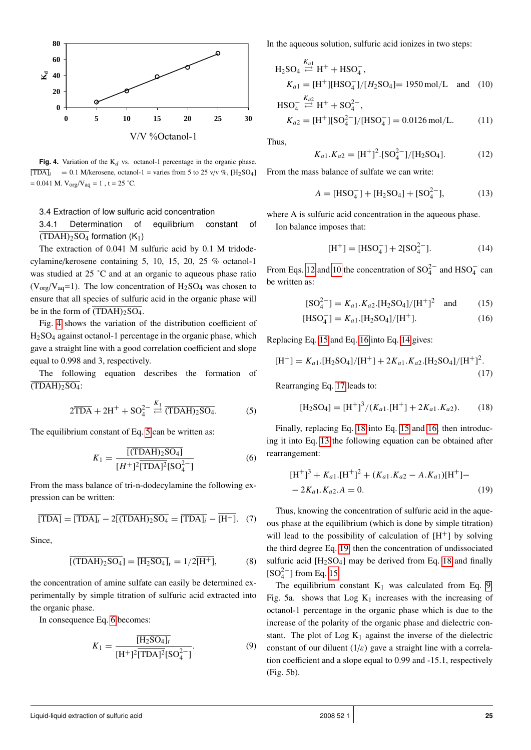

**Fig. 4.** Variation of the  $K_d$  vs. octanol-1 percentage in the organic phase.  $[\overline{TDA}]_i$  = 0.1 M/kerosene, octanol-1 = varies from 5 to 25 v/v %, [H<sub>2</sub>SO<sub>4</sub>] Fig. 4  $= 0.041$  M.  $V_{org}/V_{aq} = 1$ , t = 25 °C.

# 3.4 Extraction of low sulfuric acid concentration

<span id="page-2-0"></span>Ωf  $\overline{\text{(TDAH)}_2\text{SO}_4}$  formation (K<sub>1</sub>) 3.4.1 Determination of equilibrium constant of

 The extraction of 0.041 M sulfuric acid by 0.1 M tridode- cylamine/kerosene containing 5, 10, 15, 20, 25 % octanol-1 was studied at  $25^\circ$ C and at an organic to aqueous phase ratio ֖֖֖֖֖֖֚֚֚֚֚֡֡֡֝֝**֕**  $(V_{org}/V_{aq}=1)$ . The low concentration of H<sub>2</sub>SO<sub>4</sub> was chosen to ensure that all species of sulfuric acid in the organic phase will be in the form of  $(TDAH)_2SO_4$ .

 Fig. [4](#page-2-0) shows the variation of the distribution coefficient of H2SO<sup>4</sup> against octanol-1 percentage in the organic phase, which gave a straight line with a good correlation coefficient and slope equal to 0.998 and 3, respectively.

 The following equation describes the formation of  $(TDAH)_{2}SO_{4}$ :

<span id="page-2-1"></span>
$$
2\overline{TDA} + 2H^+ + SO_4^{2-} \stackrel{K_1}{\leftarrow} \overline{(TDAH)_2SO_4}.
$$
 (5)

The equilibrium constant of Eq. [5](#page-2-1) can be written as:

$$
K_1 = \frac{\overline{[({\text{TDAH}})_2 S \text{O}_4]}}{[H^+]^2 \overline{[T \text{DA}]^2} [S \text{O}_4^2^-]}
$$
(6)

From the mass balance of tri-n-dodecylamine the following expression can be written:

$$
\overline{[\text{TDA}]} = \overline{[\text{TDA}]_i} - 2\overline{[(\text{TDAH})_2\text{SO}_4]} = \overline{[\text{TDA}]_i} - \overline{[\text{H}^+]}. \quad (7)
$$

Since,

$$
\overline{[(TDAH)_2SO_4]} = \overline{[H_2SO_4]}_t = 1/2\overline{[H^+]},
$$
 (8)

the concentration of amine sulfate can easily be determined experimentally by simple titration of sulfuric acid extracted into the organic phase.

In consequence Eq. [6](#page-2-2) becomes:

<span id="page-2-12"></span>
$$
K_1 = \frac{\overline{[H_2SO_4]_t}}{[H^+]^2 \overline{[TDA]^2} [SO_4^{2-}]}.
$$
 (9)

In the aqueous solution, sulfuric acid ionizes in two steps:

$$
H_2SO_4 \stackrel{K_{a1}}{\rightleftharpoons} H^+ + HSO_4^-,
$$
  
\n
$$
K_{a1} = [H^+][HSO_4^-]/[H_2SO_4] = 1950 \text{ mol/L} \text{ and } (10)
$$

$$
HSO_4^- \stackrel{Aa2}{\rightleftarrows} H^+ + SO_4^{2-},
$$
  
\n
$$
K_{a2} = [H^+][SO_4^{2-}]/[HSO_4^-] = 0.0126 \text{ mol/L}.
$$
 (11)

<span id="page-2-3"></span>Thus,

<span id="page-2-4"></span>
$$
K_{a1}.K_{a2} = [H^+]^2.[SO_4^{2-}]/[H_2SO_4].
$$
 (12)

From the mass balance of sulfate we can write:

<span id="page-2-10"></span>
$$
A = [HSO_4^-] + [H_2SO_4] + [SO_4^{2-}], \tag{13}
$$

where A is sulfuric acid concentration in the aqueous phase. Ion balance imposes that:

<span id="page-2-7"></span><span id="page-2-6"></span><span id="page-2-5"></span>
$$
[H^+] = [HSO_4^-] + 2[SO_4^{2-}]. \tag{14}
$$

From Eqs. [12](#page-2-3) and [10](#page-2-4) the concentration of  $SO_4^{2-}$  and  $HSO_4^-$  can be written as:

<span id="page-2-8"></span>
$$
[SO_4^{2-}] = K_{a1}.K_{a2}.[H_2SO_4]/[H^+]^2 \text{ and } (15)
$$

$$
[HSO4-] = Ka1. [H2SO4]/[H+].
$$
 (16)

Replacing Eq. [15](#page-2-5) and Eq. [16](#page-2-6) into Eq. [14](#page-2-7) gives:

$$
[\mathrm{H}^{+}] = K_{a1}.[\mathrm{H}_{2}\mathrm{SO}_{4}]/[\mathrm{H}^{+}] + 2K_{a1}.K_{a2}.[\mathrm{H}_{2}\mathrm{SO}_{4}]/[\mathrm{H}^{+}]^{2}.
$$
\n(17)

Rearranging Eq. [17](#page-2-8) leads to:

<span id="page-2-9"></span>
$$
[\mathrm{H}_2\mathrm{SO}_4] = [\mathrm{H}^+]^3 / (K_{a1}.[\mathrm{H}^+] + 2K_{a1}.K_{a2}). \tag{18}
$$

<span id="page-2-2"></span>Finally, replacing Eq. [18](#page-2-9) into Eq. [15](#page-2-5) and [16,](#page-2-6) then introducing it into Eq. [13](#page-2-10) the following equation can be obtained after rearrangement:

<span id="page-2-11"></span>
$$
[H^+]^3 + K_{a1}.[H^+]^2 + (K_{a1}.K_{a2} - A.K_{a1})[H^+] -
$$
  
- 2K\_{a1}.K\_{a2}.A = 0. (19)

Thus, knowing the concentration of sulfuric acid in the aqueous phase at the equilibrium (which is done by simple titration) will lead to the possibility of calculation of  $[H^+]$  by solving the third degree Eq. [19,](#page-2-11) then the concentration of undissociated sulfuric acid  $[H_2SO_4]$  may be derived from Eq. [18](#page-2-9) and finally  $[SO_4^{2-}]$  from Eq. [15.](#page-2-5)

The equilibrium constant  $K_1$  was calculated from Eq. [9.](#page-2-12) Fig. 5a. shows that  $Log K<sub>1</sub>$  increases with the increasing of octanol-1 percentage in the organic phase which is due to the increase of the polarity of the organic phase and dielectric constant. The plot of  $Log K<sub>1</sub>$  against the inverse of the dielectric constant of our diluent  $(1/\varepsilon)$  gave a straight line with a correlation coefficient and a slope equal to 0.99 and -15.1, respectively (Fig. 5b).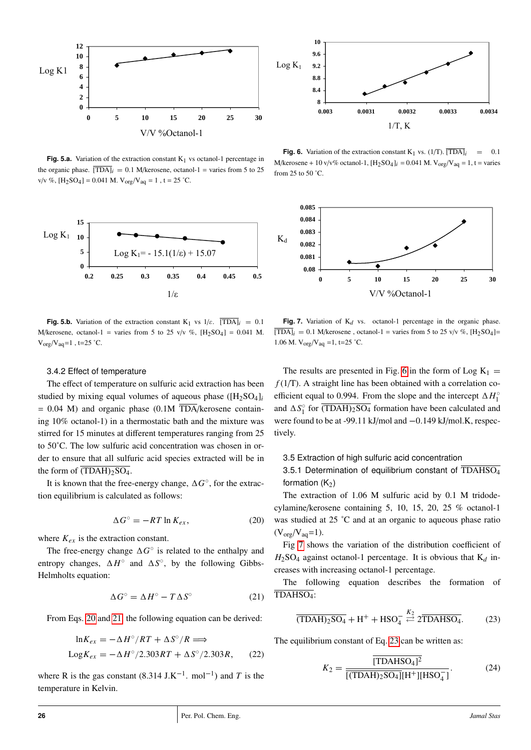

**Fig. 5.a.** Variation of the extraction constant  $K_1$  vs octanol-1 percentage in the organic phase.  $[TDA]_i = 0.1$  M/kerosene, octanol-1 = varies from 5 to 25 v/v %,  $[H_2SO_4] = 0.041$  M.  $V_{org}/V_{aq} = 1$ ,  $t = 25$  °C. j



**Fig. 5.b.** Variation of the extraction constant K<sub>1</sub> vs  $1/\varepsilon$ .  $\overline{[TDA]}_i = 0.1$ M/kerosene, octanol-1 = varies from 5 to 25 v/v %,  $[H_2SO_4] = 0.041$  M.  $V_{org}/V_{aq} = 1$ , t=25 °C.

#### 3.4.2 Effect of temperature

ing 10% octanol-1) in a thermostatic bath and the mixture was The effect of temperature on sulfuric acid extraction has been studied by mixing equal volumes of aqueous phase ([H2SO4]*<sup>i</sup>*  $\overline{a}$  = 0.04 M) and organic phase (0.1M TDA/kerosene contain- stirred for 15 minutes at different temperatures ranging from 25 to 50˚C. The low sulfuric acid concentration was chosen in orl<br>1 der to ensure that all sulfuric acid species extracted will be in the form of  $\overline{(TDAH)_2SO_4}$ .

<span id="page-3-0"></span>It is known that the free-energy change,  $\Delta G^{\circ}$ , for the extrac-tion equilibrium is calculated as follows:

$$
\Delta G^{\circ} = -RT \ln K_{ex},\tag{20}
$$

where  $K_{ex}$  is the extraction constant.

The free-energy change  $\Delta G^{\circ}$  is related to the enthalpy and entropy changes,  $\Delta H^{\circ}$  and  $\Delta S^{\circ}$ , by the following Gibbs-Helmholts equation:

<span id="page-3-1"></span>
$$
\Delta G^{\circ} = \Delta H^{\circ} - T \Delta S^{\circ} \tag{21}
$$

From Eqs. [20](#page-3-0) and [21,](#page-3-1) the following equation can be derived:

$$
\ln K_{ex} = -\Delta H^{\circ}/RT + \Delta S^{\circ}/R \Longrightarrow
$$
  
\n
$$
\text{Log}K_{ex} = -\Delta H^{\circ}/2.303RT + \Delta S^{\circ}/2.303R, \qquad (22)
$$

where R is the gas constant  $(8.314 \text{ J.K}^{-1}$ . mol<sup>-1</sup>) and T is the temperature in Kelvin.



**Fig. 6.** Variation of the extraction constant  $K_1$  vs. (1/T).  $\overline{[TDA]}_i$  = 0.1  $M/\text{kerosene} + 10 \text{ v/v\% octanol-1}, [H_2SO_4]_i = 0.041 \text{ M}. \text{V}_{org}/\text{V}_{aq} = 1, t = \text{varies}$ from 25 to 50 ˚C.



**Fig. 7.** Variation of  $K_d$  vs. octanol-1 percentage in the organic phase.  $[\overline{TDA}]_i = 0.1$  M/kerosene, octanol-1 = varies from 5 to 25 v/v %, [H<sub>2</sub>SO<sub>4</sub>]= 1.06 M.  $V_{org}/V_{aq} = 1$ , t=25 °C.

efficient equal to 0.994. From the slope and the intercept  $\Delta H_1^{\circ}$ l, The results are presented in Fig. [6](#page-3-2) in the form of Log  $K_1$  = *f* (1/T). A straight line has been obtained with a correlation coand  $\Delta S_1^{\circ}$  for  $\overline{\text{(TDAH)}_2\text{SO}_4}$  form were found to be at -99.11 kJ/mol and -0.149 kJ/mol.K, respec-1  $\int_{1}^{\infty}$  for (TDAH)<sub>2</sub>SO<sub>4</sub> formation have been calculated and tively.

3.5 Extraction of high sulfuric acid concentration

<span id="page-3-3"></span>3.5.1 Determination of equilibrium constant of  $\overline{\text{TDAHSO}_4}$ formation  $(K_2)$ 

The extraction of 1.06 M sulfuric acid by 0.1 M tridodecylamine/kerosene containing 5, 10, 15, 20, 25 % octanol-1 was studied at 25 °C and at an organic to aqueous phase ratio  $(V_{org}/V_{aq}=1)$ .

Fig [7](#page-3-3) shows the variation of the distribution coefficient of  $H_2$ SO<sub>4</sub> against octanol-1 percentage. It is obvious that  $K_d$  increases with increasing octanol-1 percentage.

The following equation describes the formation of TDAHSO4:

$$
\overline{\text{(TDAH)}_2\text{SO}_4} + \text{H}^+ + \text{HSO}_4^- \stackrel{K_2}{\rightleftharpoons} 2\overline{\text{TDAHSO}_4}.\tag{23}
$$

<span id="page-3-2"></span>The equilibrium constant of Eq. [23](#page-3-4) can be written as:

<span id="page-3-5"></span><span id="page-3-4"></span>
$$
K_2 = \frac{[\text{TDAHSO}_4]^2}{[(\text{TDAH})_2\text{SO}_4][\text{H}^+][\text{HSO}_4^-]}.
$$
 (24)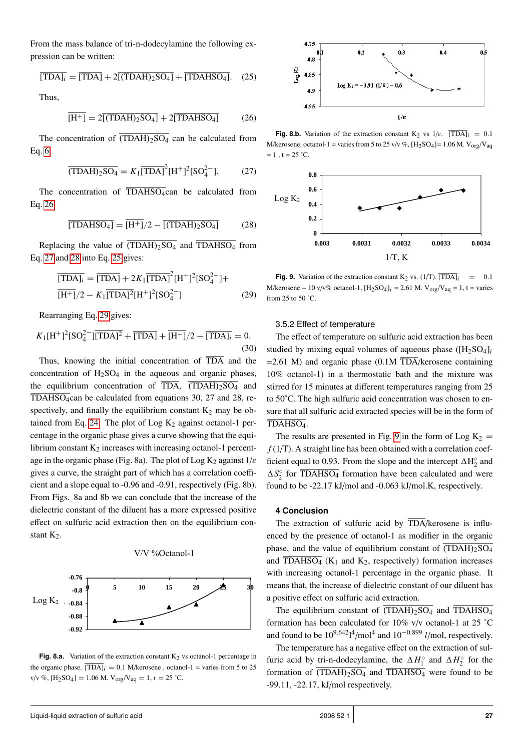From the mass balance of tri-n-dodecylamine the following expression can be written:

<span id="page-4-3"></span>
$$
\overline{[TDA]_i} = \overline{[TDA]} + 2\overline{[(TDAH)_2SO_4]} + \overline{[TDAHSO_4]}.
$$
 (25)

<span id="page-4-0"></span>Thus,

$$
\overline{[H^+]} = 2\overline{[(TDAH)_2SO_4]} + 2\overline{[TDAHSO_4]} \tag{26}
$$

<span id="page-4-1"></span>The concentration of  $\overline{(TDAH)_2SO_4}$  can be calculated from Eq. [6:](#page-2-2)

$$
\overline{\text{(TDAH)}_2\text{SO}_4} = K_1 \overline{\text{[TDA]}}^2 \text{[H}^+ \text{]}^2 \text{[SO}_4^{2-}].\tag{27}
$$

The concentration of  $\overline{\text{TDAHSO}_4}$ can be calculated from Eq. [26:](#page-4-0)

<span id="page-4-2"></span>
$$
\overline{\text{[TDAHSO_4]}} = \overline{\text{[H+]}} / 2 - \overline{\text{[(TDAH)}_2 \text{SO}_4]} \tag{28}
$$

Replacing the value of  $\overline{(TDAH)_2SO_4}$  and  $\overline{TDAHSO_4}$  from Eq. [27](#page-4-1) and [28](#page-4-2) into Eq. [25](#page-4-3) gives:

<span id="page-4-5"></span>
$$
\overline{[TDA]_i} = \overline{[TDA]} + 2K_1 \overline{[TDA]}^2 [H^+]^2 [SO_4^{2-}] +
$$
  
\n
$$
\overline{[H^+]}/2 - K_1 \overline{[TDA]}^2 [H^+]^2 [SO_4^{2-}]
$$
\n(29)

Rearranging Eq. [29](#page-4-4) gives:

$$
K_1[H^+]^2[SO_4^{2-}][\overline{TDA}]^2 + \overline{[TDA]} + \overline{[H^+]}/2 - \overline{[TDA]_i} = 0.
$$
\n(30)

Thus, knowing the initial concentration of TDA and the concentration of  $H_2SO_4$  in the aqueous and organic phases, the equilibrium concentration of  $\overline{TDA}$ ,  $\overline{(TDAH)_{2}SO_{4}}$  and  $\overline{\text{TDAHSO}_4}$ can be calculated from equations 30, 27 and 28, respectively, and finally the equilibrium constant  $K_2$  may be ob-tained from Eq. [24.](#page-3-5) The plot of Log  $K_2$  against octanol-1 percentage in the organic phase gives a curve showing that the equilibrium constant  $K_2$  increases with increasing octanol-1 percentage in the organic phase (Fig. 8a). The plot of Log K<sub>2</sub> against  $1/\varepsilon$ gives a curve, the straight part of which has a correlation coefficient and a slope equal to -0.96 and -0.91, respectively (Fig. 8b). From Figs. 8a and 8b we can conclude that the increase of the dielectric constant of the diluent has a more expressed positive effect on sulfuric acid extraction then on the equilibrium constant  $K_2$ .



V/V %Octanol-1

**Fig. 8.a.** Variation of the extraction constant  $K_2$  vs octanol-1 percentage in the organic phase.  $\overline{[TDA]}_i = 0.1$  M/kerosene, octanol-1 = varies from 5 to 25 v/v %,  $[H_2SO_4] = 1.06$  M.  $V_{org}/V_{aq} = 1, t = 25$  °C.

 $\overline{a}$ 



**Fig. 8.b.** Variation of the extraction constant  $K_2$  vs  $1/\varepsilon$ .  $\overline{[TDA]}_i = 0.1$ M/kerosene, octanol-1 = varies from 5 to 25 v/v %,  $[H_2SO_4] = 1.06$  M.  $V_{org}/V_{aq}$  $= 1$ ,  $t = 25$  °C.  $\mathbf{C}$ 



<span id="page-4-4"></span>i. M/kerosene + 10 v/v% octanol-1,  $[H_2SO_4]_i = 2.61$  M.  $V_{org}/V_{aq} = 1$ , t = varies from 25 to 50 °C **Fig. 9.** Variation of the extraction constant  $K_2$  vs. (1/T).  $\overline{[TDA]}_i$  = 0.1 from 25 to 50 ˚C.

#### 3.5.2 Effect of temperature

The effect of temperature on sulfuric acid extraction has been studied by mixing equal volumes of aqueous phase ([H<sub>2</sub>SO<sub>4</sub>]<sub>*i*</sub>  $=2.61$  M) and organic phase (0.1M TDA/kerosene containing 10% octanol-1) in a thermostatic bath and the mixture was stirred for 15 minutes at different temperatures ranging from 25 to 50˚C. The high sulfuric acid concentration was chosen to ensure that all sulfuric acid extracted species will be in the form of TDAHSO4.

The results are presented in Fig. [9](#page-4-5) in the form of Log  $K_2 =$  $f(1/T)$ . A straight line has been obtained with a correlation coefficient equal to 0.93. From the slope and the intercept  $\Delta H_2^{\circ}$  $\frac{1}{2}$  and  $\Delta S_{2}^{\circ}$  $\frac{1}{2}$  for TDAHSO<sub>4</sub> formation have been calculated and were found to be -22.17 kJ/mol and -0.063 kJ/mol.K, respectively.

#### **4 Conclusion**

enced by the presence of octanol-1 as modifier in the organic The extraction of sulfuric acid by  $\overline{TDA}$ /kerosene is influphase, and the value of equilibrium constant of  $\overline{(TDAH)_2SO_4}$ and  $\overline{\text{TDAHSO}_4}$  (K<sub>1</sub> and K<sub>2</sub>, respectively) formation increases with increasing octanol-1 percentage in the organic phase. It means that, the increase of dielectric constant of our diluent has a positive effect on sulfuric acid extraction.

The equilibrium constant of  $\overline{(TDAH)_{2}SO_{4}}$  and  $\overline{TDAHSO_{4}}$ formation has been calculated for  $10\%$  v/v octanol-1 at 25 °C and found to be  $10^{9.642}1^4$ /mol<sup>4</sup> and  $10^{-0.899}$  *l*/mol, respectively.

The temperature has a negative effect on the extraction of sulfuric acid by tri-n-dodecylamine, the  $\Delta H_1^{\circ}$  $I_1^{\circ}$  and  $\Delta H_2^{\circ}$  $\frac{1}{2}$  for the formation of  $\overline{(TDAH)_{2}SO_{4}}$  and  $\overline{TDAHSO_{4}}$  were found to be -99.11, -22.17, kJ/mol respectively.